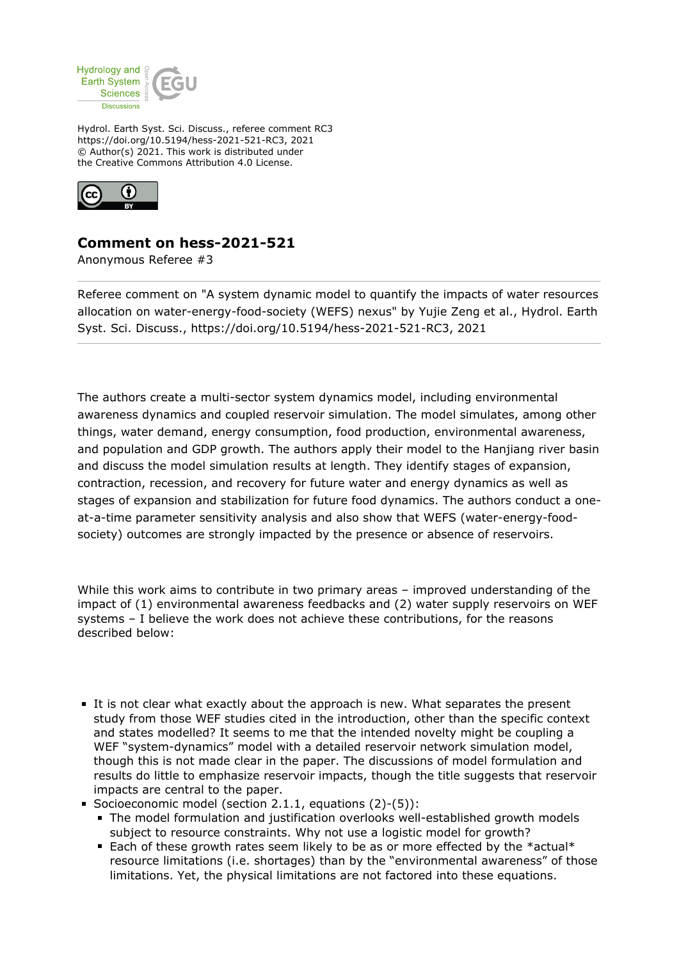

Hydrol. Earth Syst. Sci. Discuss., referee comment RC3 https://doi.org/10.5194/hess-2021-521-RC3, 2021 © Author(s) 2021. This work is distributed under the Creative Commons Attribution 4.0 License.



## **Comment on hess-2021-521**

Anonymous Referee #3

Referee comment on "A system dynamic model to quantify the impacts of water resources allocation on water-energy-food-society (WEFS) nexus" by Yujie Zeng et al., Hydrol. Earth Syst. Sci. Discuss., https://doi.org/10.5194/hess-2021-521-RC3, 2021

The authors create a multi-sector system dynamics model, including environmental awareness dynamics and coupled reservoir simulation. The model simulates, among other things, water demand, energy consumption, food production, environmental awareness, and population and GDP growth. The authors apply their model to the Hanjiang river basin and discuss the model simulation results at length. They identify stages of expansion, contraction, recession, and recovery for future water and energy dynamics as well as stages of expansion and stabilization for future food dynamics. The authors conduct a oneat-a-time parameter sensitivity analysis and also show that WEFS (water-energy-foodsociety) outcomes are strongly impacted by the presence or absence of reservoirs.

While this work aims to contribute in two primary areas – improved understanding of the impact of (1) environmental awareness feedbacks and (2) water supply reservoirs on WEF systems – I believe the work does not achieve these contributions, for the reasons described below:

- It is not clear what exactly about the approach is new. What separates the present study from those WEF studies cited in the introduction, other than the specific context and states modelled? It seems to me that the intended novelty might be coupling a WEF "system-dynamics" model with a detailed reservoir network simulation model, though this is not made clear in the paper. The discussions of model formulation and results do little to emphasize reservoir impacts, though the title suggests that reservoir impacts are central to the paper.
- Socioeconomic model (section 2.1.1, equations (2)-(5)):
	- The model formulation and justification overlooks well-established growth models subject to resource constraints. Why not use a logistic model for growth?
	- Each of these growth rates seem likely to be as or more effected by the \*actual\* resource limitations (i.e. shortages) than by the "environmental awareness" of those limitations. Yet, the physical limitations are not factored into these equations.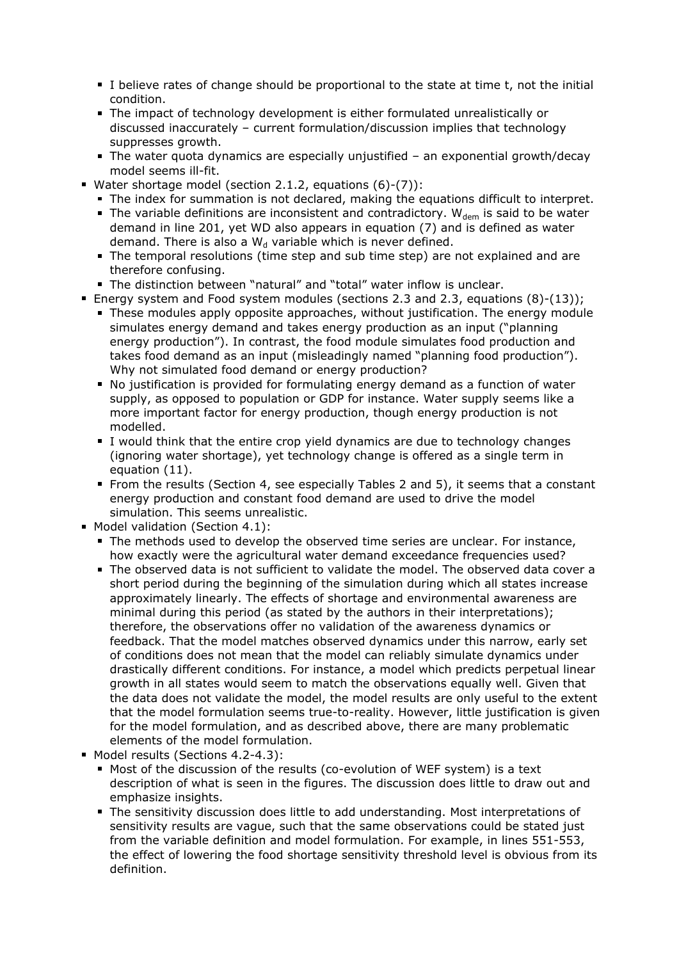- I believe rates of change should be proportional to the state at time t, not the initial condition.
- The impact of technology development is either formulated unrealistically or discussed inaccurately – current formulation/discussion implies that technology suppresses growth.
- The water quota dynamics are especially unjustified an exponential growth/decay model seems ill-fit.
- Water shortage model (section 2.1.2, equations (6)-(7)):
	- The index for summation is not declared, making the equations difficult to interpret.
	- The variable definitions are inconsistent and contradictory.  $W_{\text{dem}}$  is said to be water demand in line 201, yet WD also appears in equation (7) and is defined as water demand. There is also a  $W_d$  variable which is never defined.
	- The temporal resolutions (time step and sub time step) are not explained and are therefore confusing.
	- The distinction between "natural" and "total" water inflow is unclear.
- Energy system and Food system modules (sections 2.3 and 2.3, equations (8)-(13));
	- These modules apply opposite approaches, without justification. The energy module simulates energy demand and takes energy production as an input ("planning energy production"). In contrast, the food module simulates food production and takes food demand as an input (misleadingly named "planning food production"). Why not simulated food demand or energy production?
	- No justification is provided for formulating energy demand as a function of water supply, as opposed to population or GDP for instance. Water supply seems like a more important factor for energy production, though energy production is not modelled.
	- I would think that the entire crop yield dynamics are due to technology changes (ignoring water shortage), yet technology change is offered as a single term in equation (11).
	- **From the results (Section 4, see especially Tables 2 and 5), it seems that a constant** energy production and constant food demand are used to drive the model simulation. This seems unrealistic.
- **Model validation (Section 4.1):** 
	- The methods used to develop the observed time series are unclear. For instance, how exactly were the agricultural water demand exceedance frequencies used?
	- The observed data is not sufficient to validate the model. The observed data cover a short period during the beginning of the simulation during which all states increase approximately linearly. The effects of shortage and environmental awareness are minimal during this period (as stated by the authors in their interpretations); therefore, the observations offer no validation of the awareness dynamics or feedback. That the model matches observed dynamics under this narrow, early set of conditions does not mean that the model can reliably simulate dynamics under drastically different conditions. For instance, a model which predicts perpetual linear growth in all states would seem to match the observations equally well. Given that the data does not validate the model, the model results are only useful to the extent that the model formulation seems true-to-reality. However, little justification is given for the model formulation, and as described above, there are many problematic elements of the model formulation.
- Model results (Sections 4.2-4.3):
	- Most of the discussion of the results (co-evolution of WEF system) is a text description of what is seen in the figures. The discussion does little to draw out and emphasize insights.
	- The sensitivity discussion does little to add understanding. Most interpretations of sensitivity results are vague, such that the same observations could be stated just from the variable definition and model formulation. For example, in lines 551-553, the effect of lowering the food shortage sensitivity threshold level is obvious from its definition.